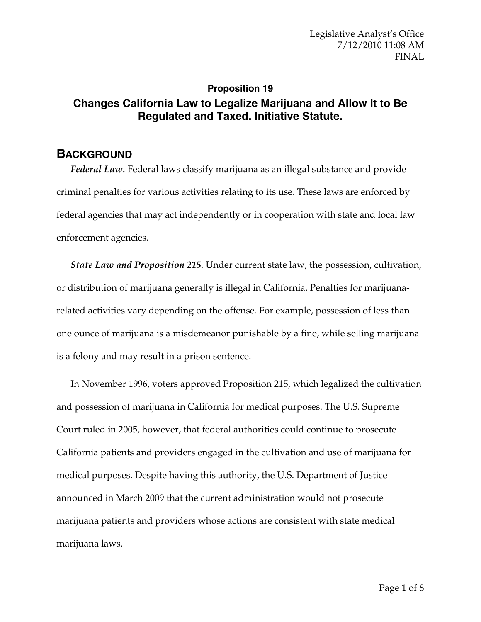## **Proposition 19 Changes California Law to Legalize Marijuana and Allow It to Be Regulated and Taxed. Initiative Statute.**

## **BACKGROUND**

*Federal Law.* Federal laws classify marijuana as an illegal substance and provide criminal penalties for various activities relating to its use. These laws are enforced by federal agencies that may act independently or in cooperation with state and local law enforcement agencies.

*State Law and Proposition 215.* Under current state law, the possession, cultivation, or distribution of marijuana generally is illegal in California. Penalties for marijuanarelated activities vary depending on the offense. For example, possession of less than one ounce of marijuana is a misdemeanor punishable by a fine, while selling marijuana is a felony and may result in a prison sentence.

In November 1996, voters approved Proposition 215, which legalized the cultivation and possession of marijuana in California for medical purposes. The U.S. Supreme Court ruled in 2005, however, that federal authorities could continue to prosecute California patients and providers engaged in the cultivation and use of marijuana for medical purposes. Despite having this authority, the U.S. Department of Justice announced in March 2009 that the current administration would not prosecute marijuana patients and providers whose actions are consistent with state medical marijuana laws.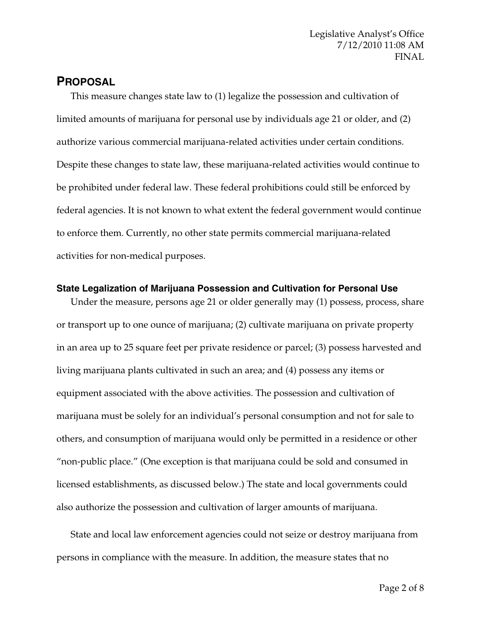## **PROPOSAL**

This measure changes state law to (1) legalize the possession and cultivation of limited amounts of marijuana for personal use by individuals age 21 or older, and (2) authorize various commercial marijuana-related activities under certain conditions. Despite these changes to state law, these marijuana-related activities would continue to be prohibited under federal law. These federal prohibitions could still be enforced by federal agencies. It is not known to what extent the federal government would continue to enforce them. Currently, no other state permits commercial marijuana-related activities for non-medical purposes.

### **State Legalization of Marijuana Possession and Cultivation for Personal Use**

Under the measure, persons age 21 or older generally may (1) possess, process, share or transport up to one ounce of marijuana; (2) cultivate marijuana on private property in an area up to 25 square feet per private residence or parcel; (3) possess harvested and living marijuana plants cultivated in such an area; and (4) possess any items or equipment associated with the above activities. The possession and cultivation of marijuana must be solely for an individual's personal consumption and not for sale to others, and consumption of marijuana would only be permitted in a residence or other "non-public place." (One exception is that marijuana could be sold and consumed in licensed establishments, as discussed below.) The state and local governments could also authorize the possession and cultivation of larger amounts of marijuana.

State and local law enforcement agencies could not seize or destroy marijuana from persons in compliance with the measure. In addition, the measure states that no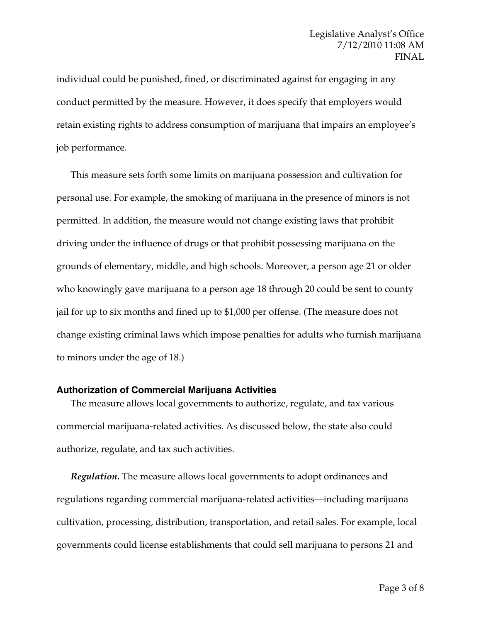individual could be punished, fined, or discriminated against for engaging in any conduct permitted by the measure. However, it does specify that employers would retain existing rights to address consumption of marijuana that impairs an employee's job performance.

This measure sets forth some limits on marijuana possession and cultivation for personal use. For example, the smoking of marijuana in the presence of minors is not permitted. In addition, the measure would not change existing laws that prohibit driving under the influence of drugs or that prohibit possessing marijuana on the grounds of elementary, middle, and high schools. Moreover, a person age 21 or older who knowingly gave marijuana to a person age 18 through 20 could be sent to county jail for up to six months and fined up to \$1,000 per offense. (The measure does not change existing criminal laws which impose penalties for adults who furnish marijuana to minors under the age of 18.)

#### **Authorization of Commercial Marijuana Activities**

The measure allows local governments to authorize, regulate, and tax various commercial marijuana-related activities. As discussed below, the state also could authorize, regulate, and tax such activities.

*Regulation.* The measure allows local governments to adopt ordinances and regulations regarding commercial marijuana-related activities—including marijuana cultivation, processing, distribution, transportation, and retail sales. For example, local governments could license establishments that could sell marijuana to persons 21 and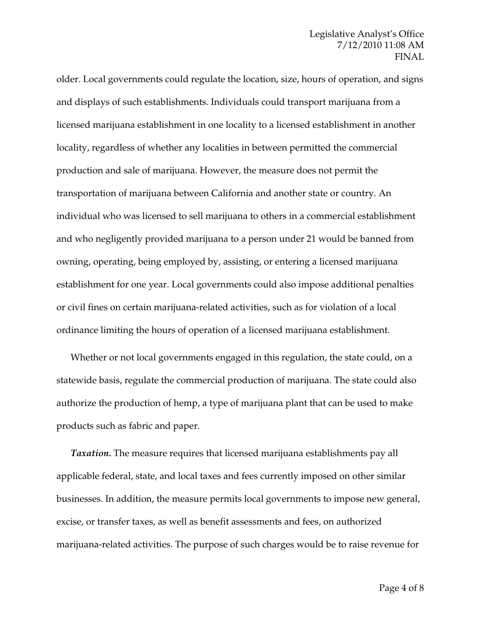### Legislative Analyst's Office 7/12/2010 11:08 AM FINAL

older. Local governments could regulate the location, size, hours of operation, and signs and displays of such establishments. Individuals could transport marijuana from a licensed marijuana establishment in one locality to a licensed establishment in another locality, regardless of whether any localities in between permitted the commercial production and sale of marijuana. However, the measure does not permit the transportation of marijuana between California and another state or country. An individual who was licensed to sell marijuana to others in a commercial establishment and who negligently provided marijuana to a person under 21 would be banned from owning, operating, being employed by, assisting, or entering a licensed marijuana establishment for one year. Local governments could also impose additional penalties or civil fines on certain marijuana-related activities, such as for violation of a local ordinance limiting the hours of operation of a licensed marijuana establishment.

Whether or not local governments engaged in this regulation, the state could, on a statewide basis, regulate the commercial production of marijuana. The state could also authorize the production of hemp, a type of marijuana plant that can be used to make products such as fabric and paper.

*Taxation*. The measure requires that licensed marijuana establishments pay all applicable federal, state, and local taxes and fees currently imposed on other similar businesses. In addition, the measure permits local governments to impose new general, excise, or transfer taxes, as well as benefit assessments and fees, on authorized marijuana-related activities. The purpose of such charges would be to raise revenue for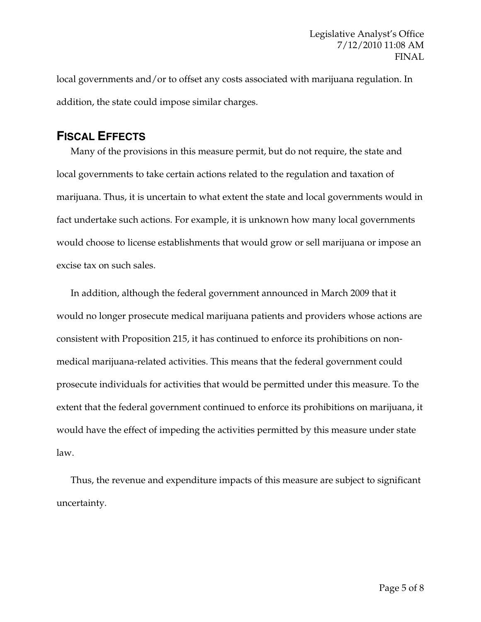local governments and/or to offset any costs associated with marijuana regulation. In addition, the state could impose similar charges.

## **FISCAL EFFECTS**

Many of the provisions in this measure permit, but do not require, the state and local governments to take certain actions related to the regulation and taxation of marijuana. Thus, it is uncertain to what extent the state and local governments would in fact undertake such actions. For example, it is unknown how many local governments would choose to license establishments that would grow or sell marijuana or impose an excise tax on such sales.

In addition, although the federal government announced in March 2009 that it would no longer prosecute medical marijuana patients and providers whose actions are consistent with Proposition 215, it has continued to enforce its prohibitions on nonmedical marijuana-related activities. This means that the federal government could prosecute individuals for activities that would be permitted under this measure. To the extent that the federal government continued to enforce its prohibitions on marijuana, it would have the effect of impeding the activities permitted by this measure under state law.

Thus, the revenue and expenditure impacts of this measure are subject to significant uncertainty.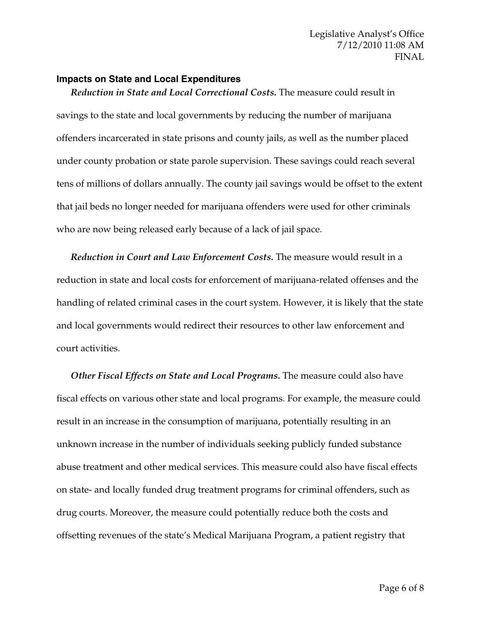#### **Impacts on State and Local Expenditures**

*Reduction in State and Local Correctional Costs.* The measure could result in savings to the state and local governments by reducing the number of marijuana offenders incarcerated in state prisons and county jails, as well as the number placed under county probation or state parole supervision. These savings could reach several tens of millions of dollars annually. The county jail savings would be offset to the extent that jail beds no longer needed for marijuana offenders were used for other criminals who are now being released early because of a lack of jail space.

*Reduction in Court and Law Enforcement Costs.* The measure would result in a reduction in state and local costs for enforcement of marijuana-related offenses and the handling of related criminal cases in the court system. However, it is likely that the state and local governments would redirect their resources to other law enforcement and court activities.

*Other Fiscal Effects on State and Local Programs.* The measure could also have fiscal effects on various other state and local programs. For example, the measure could result in an increase in the consumption of marijuana, potentially resulting in an unknown increase in the number of individuals seeking publicly funded substance abuse treatment and other medical services. This measure could also have fiscal effects on state- and locally funded drug treatment programs for criminal offenders, such as drug courts. Moreover, the measure could potentially reduce both the costs and offsetting revenues of the state's Medical Marijuana Program, a patient registry that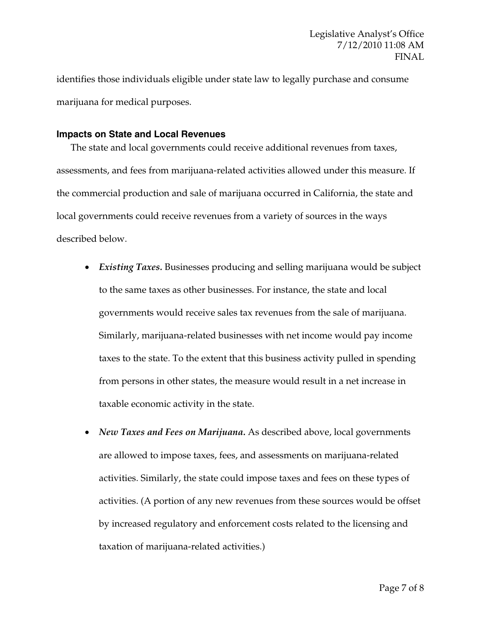identifies those individuals eligible under state law to legally purchase and consume marijuana for medical purposes.

#### **Impacts on State and Local Revenues**

The state and local governments could receive additional revenues from taxes, assessments, and fees from marijuana-related activities allowed under this measure. If the commercial production and sale of marijuana occurred in California, the state and local governments could receive revenues from a variety of sources in the ways described below.

- *Existing Taxes.* Businesses producing and selling marijuana would be subject to the same taxes as other businesses. For instance, the state and local governments would receive sales tax revenues from the sale of marijuana. Similarly, marijuana-related businesses with net income would pay income taxes to the state. To the extent that this business activity pulled in spending from persons in other states, the measure would result in a net increase in taxable economic activity in the state.
- *New Taxes and Fees on Marijuana.* As described above, local governments are allowed to impose taxes, fees, and assessments on marijuana-related activities. Similarly, the state could impose taxes and fees on these types of activities. (A portion of any new revenues from these sources would be offset by increased regulatory and enforcement costs related to the licensing and taxation of marijuana-related activities.)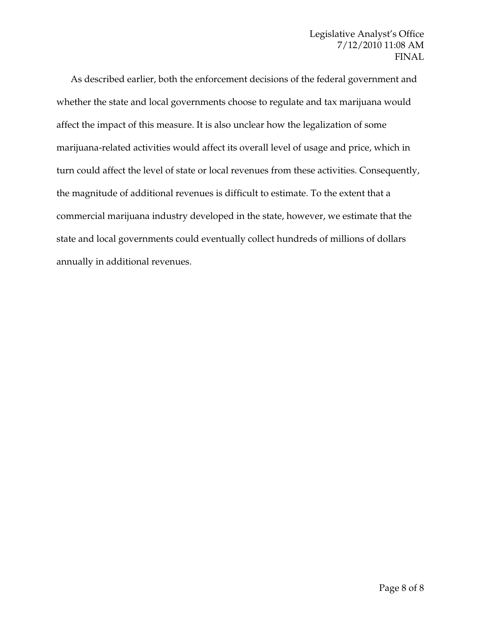As described earlier, both the enforcement decisions of the federal government and whether the state and local governments choose to regulate and tax marijuana would affect the impact of this measure. It is also unclear how the legalization of some marijuana-related activities would affect its overall level of usage and price, which in turn could affect the level of state or local revenues from these activities. Consequently, the magnitude of additional revenues is difficult to estimate. To the extent that a commercial marijuana industry developed in the state, however, we estimate that the state and local governments could eventually collect hundreds of millions of dollars annually in additional revenues.